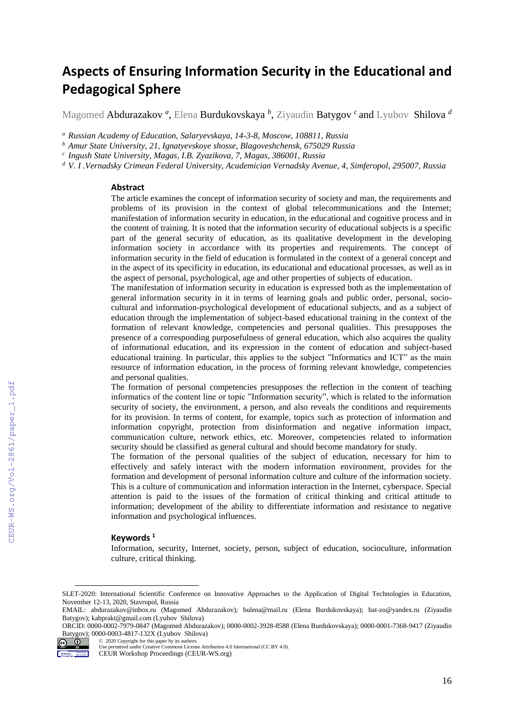# **Aspects of Ensuring Information Security in the Educational and Pedagogical Sphere**

Magomed Abdurazakov *<sup>a</sup>* , Elena Burdukovskaya *<sup>b</sup>* , Ziyaudin Batygov *<sup>c</sup>* and Lyubov Shilova *<sup>d</sup>*

*<sup>a</sup> Russian Academy of Education, Salaryevskaya, 14-3-8, Moscow, 108811, Russia*

*<sup>b</sup> Amur State University, 21, Ignatyevskoye shosse, Blagoveshchensk, 675029 Russia*

*c Ingush State University, Magas, I.B. Zyazikova, 7, Magas, 386001, Russia*

*<sup>d</sup> V. I .Vernadsky Crimean Federal University, Academician Vernadsky Avenue, 4, Simferopol, 295007, Russia*

#### **Abstract**

The article examines the concept of information security of society and man, the requirements and problems of its provision in the context of global telecommunications and the Internet; manifestation of information security in education, in the educational and cognitive process and in the content of training. It is noted that the information security of educational subjects is a specific part of the general security of education, as its qualitative development in the developing information society in accordance with its properties and requirements. The concept of information security in the field of education is formulated in the context of a general concept and in the aspect of its specificity in education, its educational and educational processes, as well as in the aspect of personal, psychological, age and other properties of subjects of education.

The manifestation of information security in education is expressed both as the implementation of general information security in it in terms of learning goals and public order, personal, sociocultural and information-psychological development of educational subjects, and as a subject of education through the implementation of subject-based educational training in the context of the formation of relevant knowledge, competencies and personal qualities. This presupposes the presence of a corresponding purposefulness of general education, which also acquires the quality of informational education, and its expression in the content of education and subject-based educational training. In particular, this applies to the subject "Informatics and ICT" as the main resource of information education, in the process of forming relevant knowledge, competencies and personal qualities.

The formation of personal competencies presupposes the reflection in the content of teaching informatics of the content line or topic "Information security", which is related to the information security of society, the environment, a person, and also reveals the conditions and requirements for its provision. In terms of content, for example, topics such as protection of information and information copyright, protection from disinformation and negative information impact, communication culture, network ethics, etc. Moreover, competencies related to information security should be classified as general cultural and should become mandatory for study.

The formation of the personal qualities of the subject of education, necessary for him to effectively and safely interact with the modern information environment, provides for the formation and development of personal information culture and culture of the information society. This is a culture of communication and information interaction in the Internet, cyberspace. Special attention is paid to the issues of the formation of critical thinking and critical attitude to information; development of the ability to differentiate information and resistance to negative information and psychological influences.

### **Keywords <sup>1</sup>**

Information, security, Internet, society, person, subject of education, socioculture, information culture, critical thinking.

ORCID: 0000-0002-7979-0847 (Magomed Abdurazakov); 0000-0002-3928-8588 (Elena Burdukovskaya); 0000-0001-7368-9417 (Ziyaudin Batygov); 0000-0003-4817-132X (Lyubov Shilova)<br>  $\odot$   $\bullet$  2020 Copyright for this paper by its authors. ©️ 2020 Copyright for this paper by its authors.



 $\overline{a}$ 

SLET-2020: International Scientific Conference on Innovative Approaches to the Application of Digital Technologies in Education, November 12-13, 2020, Stavropol, Russia

EMAIL: [abdurazakov@inbox.ru](mailto:abdurazakov@inbox.ru) (Magomed Abdurazakov); [bulena@mail.ru](mailto:bulena@mail.ru) (Elena Burdukovskaya); [bat-zo@yandex.ru](mailto:bat-zo@yandex.ru) (Ziyaudin Batygov); [kabprakt@gmail.com](mailto:kabprakt@gmail.com) (Lyubov Shilova)

Use permitted under Creative Commons License Attribution 4.0 International (CC BY 4.0).

CEUR Workshop Proceedings (CEUR-WS.org)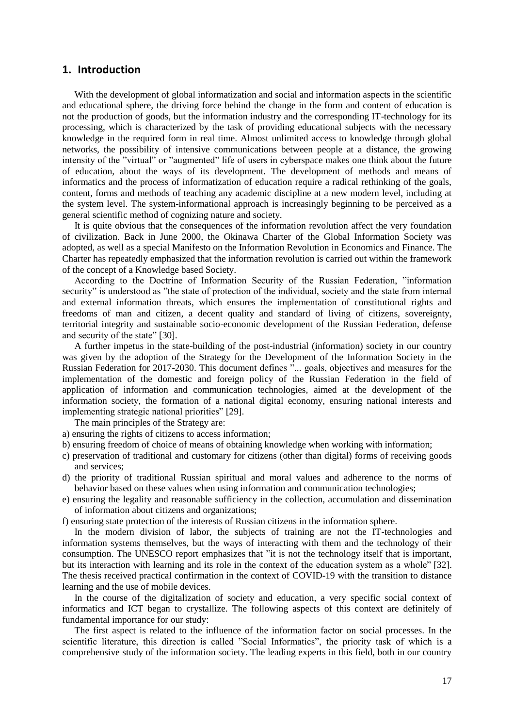### **1. Introduction**

With the development of global informatization and social and information aspects in the scientific and educational sphere, the driving force behind the change in the form and content of education is not the production of goods, but the information industry and the corresponding IT-technology for its processing, which is characterized by the task of providing educational subjects with the necessary knowledge in the required form in real time. Almost unlimited access to knowledge through global networks, the possibility of intensive communications between people at a distance, the growing intensity of the "virtual" or "augmented" life of users in cyberspace makes one think about the future of education, about the ways of its development. The development of methods and means of informatics and the process of informatization of education require a radical rethinking of the goals, content, forms and methods of teaching any academic discipline at a new modern level, including at the system level. The system-informational approach is increasingly beginning to be perceived as a general scientific method of cognizing nature and society.

It is quite obvious that the consequences of the information revolution affect the very foundation of civilization. Back in June 2000, the Okinawa Charter of the Global Information Society was adopted, as well as a special Manifesto on the Information Revolution in Economics and Finance. The Charter has repeatedly emphasized that the information revolution is carried out within the framework of the concept of a Knowledge based Society.

According to the Doctrine of Information Security of the Russian Federation, "information security" is understood as "the state of protection of the individual, society and the state from internal and external information threats, which ensures the implementation of constitutional rights and freedoms of man and citizen, a decent quality and standard of living of citizens, sovereignty, territorial integrity and sustainable socio-economic development of the Russian Federation, defense and security of the state" [\[30\].](#page-14-0)

A further impetus in the state-building of the post-industrial (information) society in our country was given by the adoption of the Strategy for the Development of the Information Society in the Russian Federation for 2017-2030. This document defines "... goals, objectives and measures for the implementation of the domestic and foreign policy of the Russian Federation in the field of application of information and communication technologies, aimed at the development of the information society, the formation of a national digital economy, ensuring national interests and implementing strategic national priorities" [\[29\].](#page-14-1)

The main principles of the Strategy are:

- a) ensuring the rights of citizens to access information;
- b) ensuring freedom of choice of means of obtaining knowledge when working with information;
- c) preservation of traditional and customary for citizens (other than digital) forms of receiving goods and services;
- d) the priority of traditional Russian spiritual and moral values and adherence to the norms of behavior based on these values when using information and communication technologies;
- e) ensuring the legality and reasonable sufficiency in the collection, accumulation and dissemination of information about citizens and organizations;
- f) ensuring state protection of the interests of Russian citizens in the information sphere.

In the modern division of labor, the subjects of training are not the IT-technologies and information systems themselves, but the ways of interacting with them and the technology of their consumption. The UNESCO report emphasizes that "it is not the technology itself that is important, but its interaction with learning and its role in the context of the education system as a whole" [\[32\].](#page-14-2) The thesis received practical confirmation in the context of COVID-19 with the transition to distance learning and the use of mobile devices.

In the course of the digitalization of society and education, a very specific social context of informatics and ICT began to crystallize. The following aspects of this context are definitely of fundamental importance for our study:

The first aspect is related to the influence of the information factor on social processes. In the scientific literature, this direction is called "Social Informatics", the priority task of which is a comprehensive study of the information society. The leading experts in this field, both in our country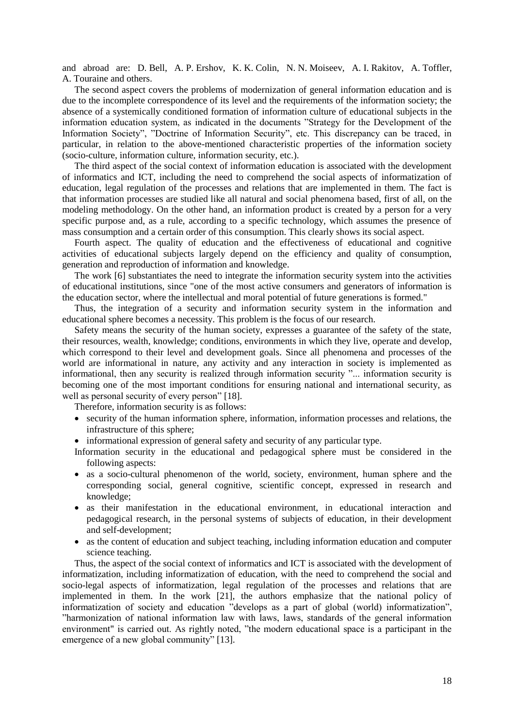and abroad are: D. Bell, A. P. Ershov, K. K. Colin, N. N. Moiseev, A. I. Rakitov, A. Toffler, A. Touraine and others.

The second aspect covers the problems of modernization of general information education and is due to the incomplete correspondence of its level and the requirements of the information society; the absence of a systemically conditioned formation of information culture of educational subjects in the information education system, as indicated in the documents "Strategy for the Development of the Information Society", "Doctrine of Information Security", etc. This discrepancy can be traced, in particular, in relation to the above-mentioned characteristic properties of the information society (socio-culture, information culture, information security, etc.).

The third aspect of the social context of information education is associated with the development of informatics and ICT, including the need to comprehend the social aspects of informatization of education, legal regulation of the processes and relations that are implemented in them. The fact is that information processes are studied like all natural and social phenomena based, first of all, on the modeling methodology. On the other hand, an information product is created by a person for a very specific purpose and, as a rule, according to a specific technology, which assumes the presence of mass consumption and a certain order of this consumption. This clearly shows its social aspect.

Fourth aspect. The quality of education and the effectiveness of educational and cognitive activities of educational subjects largely depend on the efficiency and quality of consumption, generation and reproduction of information and knowledge.

The work [\[6\]](#page-13-0) substantiates the need to integrate the information security system into the activities of educational institutions, since "one of the most active consumers and generators of information is the education sector, where the intellectual and moral potential of future generations is formed."

Thus, the integration of a security and information security system in the information and educational sphere becomes a necessity. This problem is the focus of our research.

Safety means the security of the human society, expresses a guarantee of the safety of the state, their resources, wealth, knowledge; conditions, environments in which they live, operate and develop, which correspond to their level and development goals. Since all phenomena and processes of the world are informational in nature, any activity and any interaction in society is implemented as informational, then any security is realized through information security "... information security is becoming one of the most important conditions for ensuring national and international security, as well as personal security of every person" [\[18\].](#page-14-3)

Therefore, information security is as follows:

- security of the human information sphere, information, information processes and relations, the infrastructure of this sphere;
- informational expression of general safety and security of any particular type.
- Information security in the educational and pedagogical sphere must be considered in the following aspects:
- as a socio-cultural phenomenon of the world, society, environment, human sphere and the corresponding social, general cognitive, scientific concept, expressed in research and knowledge;
- as their manifestation in the educational environment, in educational interaction and pedagogical research, in the personal systems of subjects of education, in their development and self-development;
- as the content of education and subject teaching, including information education and computer science teaching.

Thus, the aspect of the social context of informatics and ICT is associated with the development of informatization, including informatization of education, with the need to comprehend the social and socio-legal aspects of informatization, legal regulation of the processes and relations that are implemented in them. In the work [\[21\],](#page-14-4) the authors emphasize that the national policy of informatization of society and education "develops as a part of global (world) informatization", "harmonization of national information law with laws, laws, standards of the general information environment" is carried out. As rightly noted, "the modern educational space is a participant in the emergence of a new global community" [\[13\].](#page-14-5)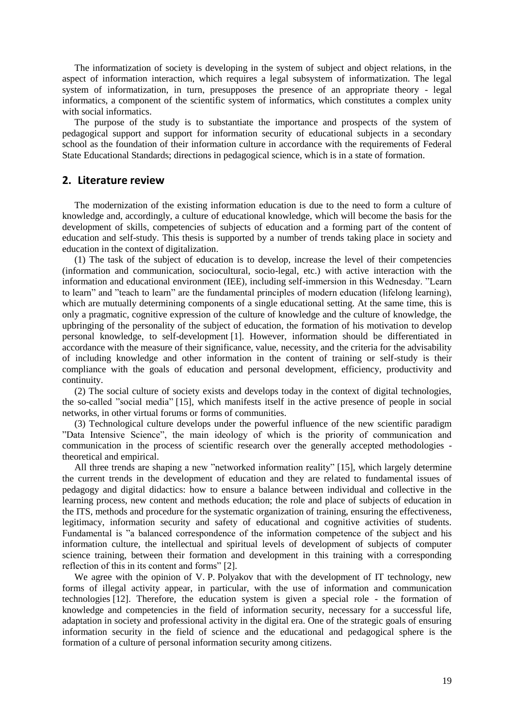The informatization of society is developing in the system of subject and object relations, in the aspect of information interaction, which requires a legal subsystem of informatization. The legal system of informatization, in turn, presupposes the presence of an appropriate theory - legal informatics, a component of the scientific system of informatics, which constitutes a complex unity with social informatics.

The purpose of the study is to substantiate the importance and prospects of the system of pedagogical support and support for information security of educational subjects in a secondary school as the foundation of their information culture in accordance with the requirements of Federal State Educational Standards; directions in pedagogical science, which is in a state of formation.

### **2. Literature review**

The modernization of the existing information education is due to the need to form a culture of knowledge and, accordingly, a culture of educational knowledge, which will become the basis for the development of skills, competencies of subjects of education and a forming part of the content of education and self-study. This thesis is supported by a number of trends taking place in society and education in the context of digitalization.

(1) The task of the subject of education is to develop, increase the level of their competencies (information and communication, sociocultural, socio-legal, etc.) with active interaction with the information and educational environment (IEE), including self-immersion in this Wednesday. "Learn to learn" and "teach to learn" are the fundamental principles of modern education (lifelong learning), which are mutually determining components of a single educational setting. At the same time, this is only a pragmatic, cognitive expression of the culture of knowledge and the culture of knowledge, the upbringing of the personality of the subject of education, the formation of his motivation to develop personal knowledge, to self-development [\[1\].](#page-13-1) However, information should be differentiated in accordance with the measure of their significance, value, necessity, and the criteria for the advisability of including knowledge and other information in the content of training or self-study is their compliance with the goals of education and personal development, efficiency, productivity and continuity.

(2) The social culture of society exists and develops today in the context of digital technologies, the so-called "social media" [\[15\],](#page-14-6) which manifests itself in the active presence of people in social networks, in other virtual forums or forms of communities.

(3) Technological culture develops under the powerful influence of the new scientific paradigm "Data Intensive Science", the main ideology of which is the priority of communication and communication in the process of scientific research over the generally accepted methodologies theoretical and empirical.

All three trends are shaping a new "networked information reality" [\[15\],](#page-14-6) which largely determine the current trends in the development of education and they are related to fundamental issues of pedagogy and digital didactics: how to ensure a balance between individual and collective in the learning process, new content and methods education; the role and place of subjects of education in the ITS, methods and procedure for the systematic organization of training, ensuring the effectiveness, legitimacy, information security and safety of educational and cognitive activities of students. Fundamental is "a balanced correspondence of the information competence of the subject and his information culture, the intellectual and spiritual levels of development of subjects of computer science training, between their formation and development in this training with a corresponding reflection of this in its content and forms" [\[2\].](#page-13-2)

We agree with the opinion of V. P. Polyakov that with the development of IT technology, new forms of illegal activity appear, in particular, with the use of information and communication technologies [\[12\].](#page-14-7) Therefore, the education system is given a special role - the formation of knowledge and competencies in the field of information security, necessary for a successful life, adaptation in society and professional activity in the digital era. One of the strategic goals of ensuring information security in the field of science and the educational and pedagogical sphere is the formation of a culture of personal information security among citizens.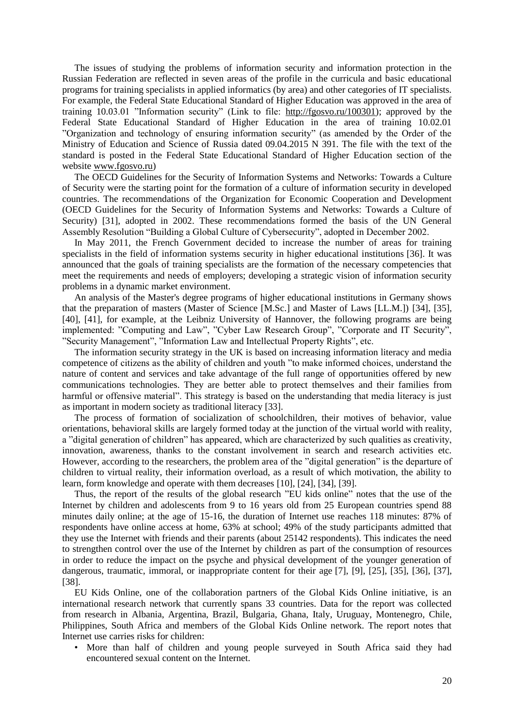The issues of studying the problems of information security and information protection in the Russian Federation are reflected in seven areas of the profile in the curricula and basic educational programs for training specialists in applied informatics (by area) and other categories of IT specialists. For example, the Federal State Educational Standard of Higher Education was approved in the area of training 10.03.01 "Information security" (Link to file: [http://fgosvo.ru/100301\)](http://fgosvo.ru/100301); approved by the Federal State Educational Standard of Higher Education in the area of training 10.02.01 "Organization and technology of ensuring information security" (as amended by the Order of the Ministry of Education and Science of Russia dated 09.04.2015 N 391. The file with the text of the standard is posted in the Federal State Educational Standard of Higher Education section of the website [www.fgosvo.ru\)](http://www.fgosvo.ru/)

The OECD Guidelines for the Security of Information Systems and Networks: Towards a Culture of Security were the starting point for the formation of a culture of information security in developed countries. The recommendations of the Organization for Economic Cooperation and Development (OECD Guidelines for the Security of Information Systems and Networks: Towards a Culture of Security) [31], adopted in 2002. These recommendations formed the basis of the UN General Assembly Resolution "Building a Global Culture of Cybersecurity", adopted in December 2002.

In May 2011, the French Government decided to increase the number of areas for training specialists in the field of information systems security in higher educational institutions [\[36\].](#page-15-0) It was announced that the goals of training specialists are the formation of the necessary competencies that meet the requirements and needs of employers; developing a strategic vision of information security problems in a dynamic market environment.

An analysis of the Master's degree programs of higher educational institutions in Germany shows that the preparation of masters (Master of Science [M.Sc.] and Master of Laws [LL.M.]) [\[34\],](#page-15-1) [\[35\],](#page-15-2) [\[40\],](#page-15-3) [\[41\],](#page-15-4) for example, at the Leibniz University of Hannover, the following programs are being implemented: "Computing and Law", "Cyber Law Research Group", "Corporate and IT Security", "Security Management", "Information Law and Intellectual Property Rights", etc.

The information security strategy in the UK is based on increasing information literacy and media competence of citizens as the ability of children and youth "to make informed choices, understand the nature of content and services and take advantage of the full range of opportunities offered by new communications technologies. They are better able to protect themselves and their families from harmful or offensive material". This strategy is based on the understanding that media literacy is just as important in modern society as traditional literacy [\[33\].](#page-15-5)

The process of formation of socialization of schoolchildren, their motives of behavior, value orientations, behavioral skills are largely formed today at the junction of the virtual world with reality, a "digital generation of children" has appeared, which are characterized by such qualities as creativity, innovation, awareness, thanks to the constant involvement in search and research activities etc. However, according to the researchers, the problem area of the "digital generation" is the departure of children to virtual reality, their information overload, as a result of which motivation, the ability to learn, form knowledge and operate with them decreases [\[10\],](#page-13-3) [\[24\],](#page-14-8) [\[34\],](#page-15-1) [\[39\].](#page-15-6)

Thus, the report of the results of the global research "EU kids online" notes that the use of the Internet by children and adolescents from 9 to 16 years old from 25 European countries spend 88 minutes daily online; at the age of 15-16, the duration of Internet use reaches 118 minutes: 87% of respondents have online access at home, 63% at school; 49% of the study participants admitted that they use the Internet with friends and their parents (about 25142 respondents). This indicates the need to strengthen control over the use of the Internet by children as part of the consumption of resources in order to reduce the impact on the psyche and physical development of the younger generation of dangerous, traumatic, immoral, or inappropriate content for their age [\[7\],](#page-13-4) [\[9\],](#page-13-5) [\[25\],](#page-14-9) [\[35\],](#page-15-2) [\[36\],](#page-15-0) [\[37\],](#page-15-7) [\[38\].](#page-15-8)

EU Kids Online, one of the collaboration partners of the Global Kids Online initiative, is an international research network that currently spans 33 countries. Data for the report was collected from research in Albania, Argentina, Brazil, Bulgaria, Ghana, Italy, Uruguay, Montenegro, Chile, Philippines, South Africa and members of the Global Kids Online network. The report notes that Internet use carries risks for children:

• More than half of children and young people surveyed in South Africa said they had encountered sexual content on the Internet.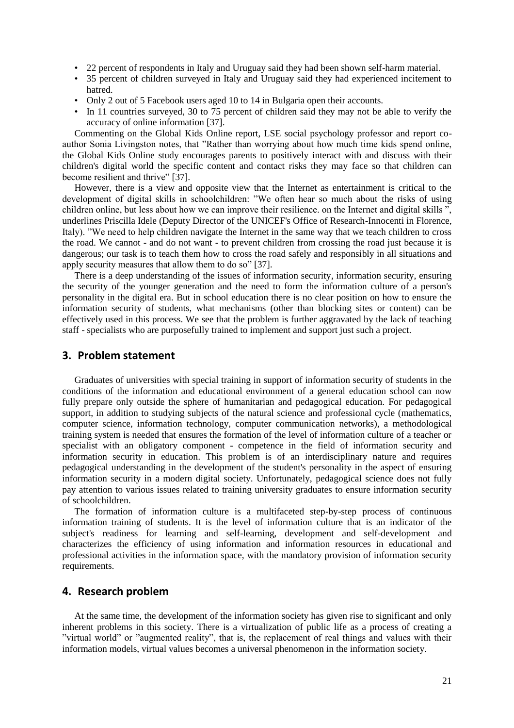- 22 percent of respondents in Italy and Uruguay said they had been shown self-harm material.
- 35 percent of children surveyed in Italy and Uruguay said they had experienced incitement to hatred.
- Only 2 out of 5 Facebook users aged 10 to 14 in Bulgaria open their accounts.
- In 11 countries surveyed, 30 to 75 percent of children said they may not be able to verify the accuracy of online information [\[37\].](#page-15-7)

Commenting on the Global Kids Online report, LSE social psychology professor and report coauthor Sonia Livingston notes, that "Rather than worrying about how much time kids spend online, the Global Kids Online study encourages parents to positively interact with and discuss with their children's digital world the specific content and contact risks they may face so that children can become resilient and thrive" [\[37\].](#page-15-7)

However, there is a view and opposite view that the Internet as entertainment is critical to the development of digital skills in schoolchildren: "We often hear so much about the risks of using children online, but less about how we can improve their resilience. on the Internet and digital skills ", underlines Priscilla Idele (Deputy Director of the UNICEF's Office of Research-Innocenti in Florence, Italy). "We need to help children navigate the Internet in the same way that we teach children to cross the road. We cannot - and do not want - to prevent children from crossing the road just because it is dangerous; our task is to teach them how to cross the road safely and responsibly in all situations and apply security measures that allow them to do so" [\[37\].](#page-15-7)

There is a deep understanding of the issues of information security, information security, ensuring the security of the younger generation and the need to form the information culture of a person's personality in the digital era. But in school education there is no clear position on how to ensure the information security of students, what mechanisms (other than blocking sites or content) can be effectively used in this process. We see that the problem is further aggravated by the lack of teaching staff - specialists who are purposefully trained to implement and support just such a project.

### **3. Problem statement**

Graduates of universities with special training in support of information security of students in the conditions of the information and educational environment of a general education school can now fully prepare only outside the sphere of humanitarian and pedagogical education. For pedagogical support, in addition to studying subjects of the natural science and professional cycle (mathematics, computer science, information technology, computer communication networks), a methodological training system is needed that ensures the formation of the level of information culture of a teacher or specialist with an obligatory component - competence in the field of information security and information security in education. This problem is of an interdisciplinary nature and requires pedagogical understanding in the development of the student's personality in the aspect of ensuring information security in a modern digital society. Unfortunately, pedagogical science does not fully pay attention to various issues related to training university graduates to ensure information security of schoolchildren.

The formation of information culture is a multifaceted step-by-step process of continuous information training of students. It is the level of information culture that is an indicator of the subject's readiness for learning and self-learning, development and self-development and characterizes the efficiency of using information and information resources in educational and professional activities in the information space, with the mandatory provision of information security requirements.

### **4. Research problem**

At the same time, the development of the information society has given rise to significant and only inherent problems in this society. There is a virtualization of public life as a process of creating a "virtual world" or "augmented reality", that is, the replacement of real things and values with their information models, virtual values becomes a universal phenomenon in the information society.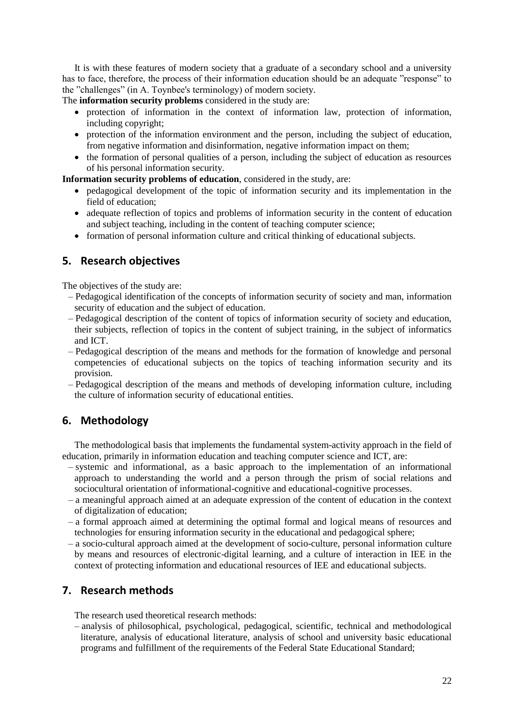It is with these features of modern society that a graduate of a secondary school and a university has to face, therefore, the process of their information education should be an adequate "response" to the "challenges" (in A. Toynbee's terminology) of modern society.

The **information security problems** considered in the study are:

- protection of information in the context of information law, protection of information, including copyright;
- protection of the information environment and the person, including the subject of education, from negative information and disinformation, negative information impact on them;
- the formation of personal qualities of a person, including the subject of education as resources of his personal information security.

**Information security problems of education**, considered in the study, are:

- pedagogical development of the topic of information security and its implementation in the field of education;
- adequate reflection of topics and problems of information security in the content of education and subject teaching, including in the content of teaching computer science;
- formation of personal information culture and critical thinking of educational subjects.

## **5. Research objectives**

The objectives of the study are:

- ‒ Pedagogical identification of the concepts of information security of society and man, information security of education and the subject of education.
- ‒ Pedagogical description of the content of topics of information security of society and education, their subjects, reflection of topics in the content of subject training, in the subject of informatics and ICT.
- ‒ Pedagogical description of the means and methods for the formation of knowledge and personal competencies of educational subjects on the topics of teaching information security and its provision.
- ‒ Pedagogical description of the means and methods of developing information culture, including the culture of information security of educational entities.

## **6. Methodology**

The methodological basis that implements the fundamental system-activity approach in the field of education, primarily in information education and teaching computer science and ICT, are:

- ‒ systemic and informational, as a basic approach to the implementation of an informational approach to understanding the world and a person through the prism of social relations and sociocultural orientation of informational-cognitive and educational-cognitive processes.
- ‒ a meaningful approach aimed at an adequate expression of the content of education in the context of digitalization of education;
- ‒ a formal approach aimed at determining the optimal formal and logical means of resources and technologies for ensuring information security in the educational and pedagogical sphere;
- ‒ a socio-cultural approach aimed at the development of socio-culture, personal information culture by means and resources of electronic-digital learning, and a culture of interaction in IEE in the context of protecting information and educational resources of IEE and educational subjects.

## **7. Research methods**

The research used theoretical research methods:

‒ analysis of philosophical, psychological, pedagogical, scientific, technical and methodological literature, analysis of educational literature, analysis of school and university basic educational programs and fulfillment of the requirements of the Federal State Educational Standard;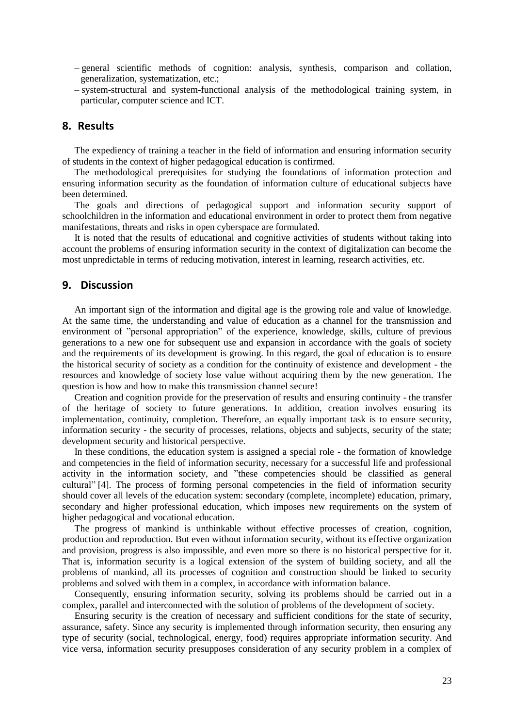- ‒ general scientific methods of cognition: analysis, synthesis, comparison and collation, generalization, systematization, etc.;
- ‒ system-structural and system-functional analysis of the methodological training system, in particular, computer science and ICT.

### **8. Results**

The expediency of training a teacher in the field of information and ensuring information security of students in the context of higher pedagogical education is confirmed.

The methodological prerequisites for studying the foundations of information protection and ensuring information security as the foundation of information culture of educational subjects have been determined.

The goals and directions of pedagogical support and information security support of schoolchildren in the information and educational environment in order to protect them from negative manifestations, threats and risks in open cyberspace are formulated.

It is noted that the results of educational and cognitive activities of students without taking into account the problems of ensuring information security in the context of digitalization can become the most unpredictable in terms of reducing motivation, interest in learning, research activities, etc.

#### **9. Discussion**

An important sign of the information and digital age is the growing role and value of knowledge. At the same time, the understanding and value of education as a channel for the transmission and environment of "personal appropriation" of the experience, knowledge, skills, culture of previous generations to a new one for subsequent use and expansion in accordance with the goals of society and the requirements of its development is growing. In this regard, the goal of education is to ensure the historical security of society as a condition for the continuity of existence and development - the resources and knowledge of society lose value without acquiring them by the new generation. The question is how and how to make this transmission channel secure!

Creation and cognition provide for the preservation of results and ensuring continuity - the transfer of the heritage of society to future generations. In addition, creation involves ensuring its implementation, continuity, completion. Therefore, an equally important task is to ensure security, information security - the security of processes, relations, objects and subjects, security of the state; development security and historical perspective.

In these conditions, the education system is assigned a special role - the formation of knowledge and competencies in the field of information security, necessary for a successful life and professional activity in the information society, and "these competencies should be classified as general cultural" [\[4\].](#page-13-6) The process of forming personal competencies in the field of information security should cover all levels of the education system: secondary (complete, incomplete) education, primary, secondary and higher professional education, which imposes new requirements on the system of higher pedagogical and vocational education.

The progress of mankind is unthinkable without effective processes of creation, cognition, production and reproduction. But even without information security, without its effective organization and provision, progress is also impossible, and even more so there is no historical perspective for it. That is, information security is a logical extension of the system of building society, and all the problems of mankind, all its processes of cognition and construction should be linked to security problems and solved with them in a complex, in accordance with information balance.

Consequently, ensuring information security, solving its problems should be carried out in a complex, parallel and interconnected with the solution of problems of the development of society.

Ensuring security is the creation of necessary and sufficient conditions for the state of security, assurance, safety. Since any security is implemented through information security, then ensuring any type of security (social, technological, energy, food) requires appropriate information security. And vice versa, information security presupposes consideration of any security problem in a complex of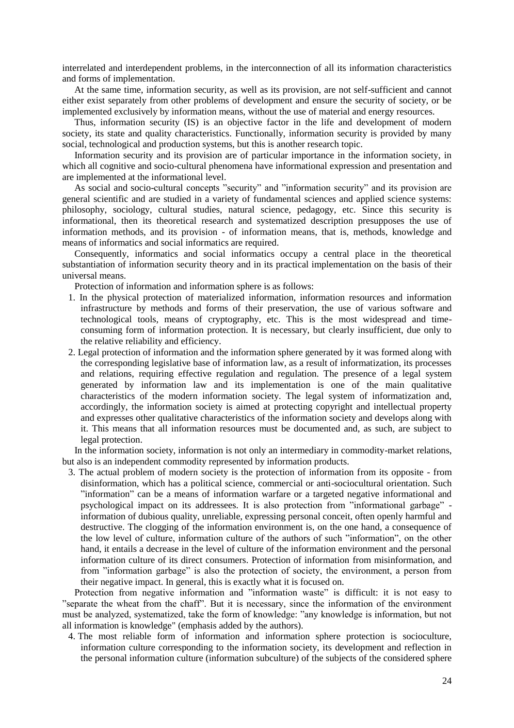interrelated and interdependent problems, in the interconnection of all its information characteristics and forms of implementation.

At the same time, information security, as well as its provision, are not self-sufficient and cannot either exist separately from other problems of development and ensure the security of society, or be implemented exclusively by information means, without the use of material and energy resources.

Thus, information security (IS) is an objective factor in the life and development of modern society, its state and quality characteristics. Functionally, information security is provided by many social, technological and production systems, but this is another research topic.

Information security and its provision are of particular importance in the information society, in which all cognitive and socio-cultural phenomena have informational expression and presentation and are implemented at the informational level.

As social and socio-cultural concepts "security" and "information security" and its provision are general scientific and are studied in a variety of fundamental sciences and applied science systems: philosophy, sociology, cultural studies, natural science, pedagogy, etc. Since this security is informational, then its theoretical research and systematized description presupposes the use of information methods, and its provision - of information means, that is, methods, knowledge and means of informatics and social informatics are required.

Consequently, informatics and social informatics occupy a central place in the theoretical substantiation of information security theory and in its practical implementation on the basis of their universal means.

Protection of information and information sphere is as follows:

- 1. In the physical protection of materialized information, information resources and information infrastructure by methods and forms of their preservation, the use of various software and technological tools, means of cryptography, etc. This is the most widespread and timeconsuming form of information protection. It is necessary, but clearly insufficient, due only to the relative reliability and efficiency.
- 2. Legal protection of information and the information sphere generated by it was formed along with the corresponding legislative base of information law, as a result of informatization, its processes and relations, requiring effective regulation and regulation. The presence of a legal system generated by information law and its implementation is one of the main qualitative characteristics of the modern information society. The legal system of informatization and, accordingly, the information society is aimed at protecting copyright and intellectual property and expresses other qualitative characteristics of the information society and develops along with it. This means that all information resources must be documented and, as such, are subject to legal protection.

In the information society, information is not only an intermediary in commodity-market relations, but also is an independent commodity represented by information products.

3. The actual problem of modern society is the protection of information from its opposite - from disinformation, which has a political science, commercial or anti-sociocultural orientation. Such "information" can be a means of information warfare or a targeted negative informational and psychological impact on its addressees. It is also protection from "informational garbage" information of dubious quality, unreliable, expressing personal conceit, often openly harmful and destructive. The clogging of the information environment is, on the one hand, a consequence of the low level of culture, information culture of the authors of such "information", on the other hand, it entails a decrease in the level of culture of the information environment and the personal information culture of its direct consumers. Protection of information from misinformation, and from "information garbage" is also the protection of society, the environment, a person from their negative impact. In general, this is exactly what it is focused on.

Protection from negative information and "information waste" is difficult: it is not easy to "separate the wheat from the chaff". But it is necessary, since the information of the environment must be analyzed, systematized, take the form of knowledge: "any knowledge is information, but not all information is knowledge" (emphasis added by the authors).

4. The most reliable form of information and information sphere protection is socioculture, information culture corresponding to the information society, its development and reflection in the personal information culture (information subculture) of the subjects of the considered sphere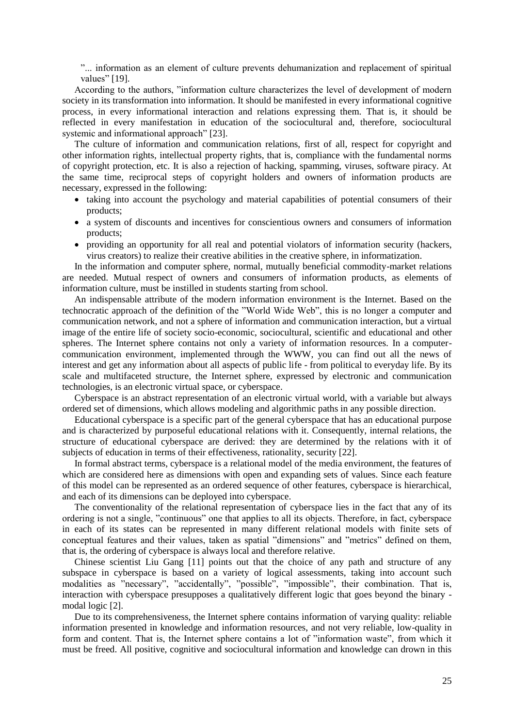"... information as an element of culture prevents dehumanization and replacement of spiritual values" [\[19\].](#page-14-10)

According to the authors, "information culture characterizes the level of development of modern society in its transformation into information. It should be manifested in every informational cognitive process, in every informational interaction and relations expressing them. That is, it should be reflected in every manifestation in education of the sociocultural and, therefore, sociocultural systemic and informational approach" [\[23\].](#page-14-11)

The culture of information and communication relations, first of all, respect for copyright and other information rights, intellectual property rights, that is, compliance with the fundamental norms of copyright protection, etc. It is also a rejection of hacking, spamming, viruses, software piracy. At the same time, reciprocal steps of copyright holders and owners of information products are necessary, expressed in the following:

- taking into account the psychology and material capabilities of potential consumers of their products;
- a system of discounts and incentives for conscientious owners and consumers of information products;
- providing an opportunity for all real and potential violators of information security (hackers, virus creators) to realize their creative abilities in the creative sphere, in informatization.

In the information and computer sphere, normal, mutually beneficial commodity-market relations are needed. Mutual respect of owners and consumers of information products, as elements of information culture, must be instilled in students starting from school.

An indispensable attribute of the modern information environment is the Internet. Based on the technocratic approach of the definition of the "World Wide Web", this is no longer a computer and communication network, and not a sphere of information and communication interaction, but a virtual image of the entire life of society socio-economic, sociocultural, scientific and educational and other spheres. The Internet sphere contains not only a variety of information resources. In a computercommunication environment, implemented through the WWW, you can find out all the news of interest and get any information about all aspects of public life - from political to everyday life. By its scale and multifaceted structure, the Internet sphere, expressed by electronic and communication technologies, is an electronic virtual space, or cyberspace.

Cyberspace is an abstract representation of an electronic virtual world, with a variable but always ordered set of dimensions, which allows modeling and algorithmic paths in any possible direction.

Educational cyberspace is a specific part of the general cyberspace that has an educational purpose and is characterized by purposeful educational relations with it. Consequently, internal relations, the structure of educational cyberspace are derived: they are determined by the relations with it of subjects of education in terms of their effectiveness, rationality, security [\[22\].](#page-14-12)

In formal abstract terms, cyberspace is a relational model of the media environment, the features of which are considered here as dimensions with open and expanding sets of values. Since each feature of this model can be represented as an ordered sequence of other features, cyberspace is hierarchical, and each of its dimensions can be deployed into cyberspace.

The conventionality of the relational representation of cyberspace lies in the fact that any of its ordering is not a single, "continuous" one that applies to all its objects. Therefore, in fact, cyberspace in each of its states can be represented in many different relational models with finite sets of conceptual features and their values, taken as spatial "dimensions" and "metrics" defined on them, that is, the ordering of cyberspace is always local and therefore relative.

Chinese scientist Liu Gang [\[11\]](#page-14-13) points out that the choice of any path and structure of any subspace in cyberspace is based on a variety of logical assessments, taking into account such modalities as "necessary", "accidentally", "possible", "impossible", their combination. That is, interaction with cyberspace presupposes a qualitatively different logic that goes beyond the binary modal logic [\[2\].](#page-13-2)

Due to its comprehensiveness, the Internet sphere contains information of varying quality: reliable information presented in knowledge and information resources, and not very reliable, low-quality in form and content. That is, the Internet sphere contains a lot of "information waste", from which it must be freed. All positive, cognitive and sociocultural information and knowledge can drown in this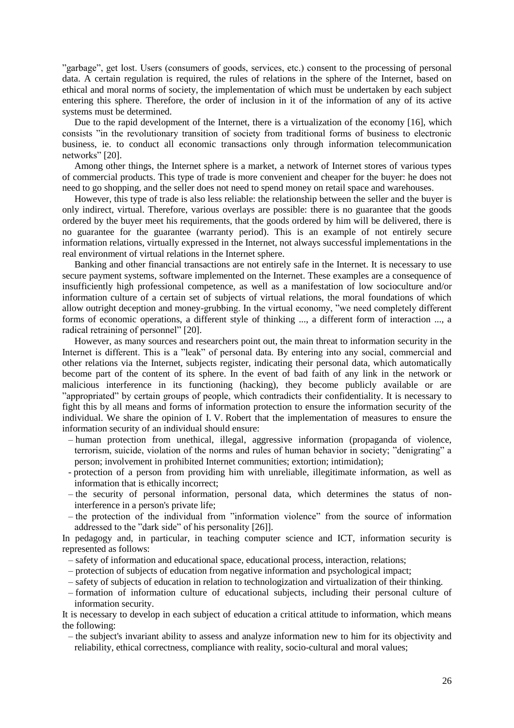"garbage", get lost. Users (consumers of goods, services, etc.) consent to the processing of personal data. A certain regulation is required, the rules of relations in the sphere of the Internet, based on ethical and moral norms of society, the implementation of which must be undertaken by each subject entering this sphere. Therefore, the order of inclusion in it of the information of any of its active systems must be determined.

Due to the rapid development of the Internet, there is a virtualization of the economy [\[16\],](#page-14-14) which consists "in the revolutionary transition of society from traditional forms of business to electronic business, ie. to conduct all economic transactions only through information telecommunication networks" [\[20\].](#page-14-15)

Among other things, the Internet sphere is a market, a network of Internet stores of various types of commercial products. This type of trade is more convenient and cheaper for the buyer: he does not need to go shopping, and the seller does not need to spend money on retail space and warehouses.

However, this type of trade is also less reliable: the relationship between the seller and the buyer is only indirect, virtual. Therefore, various overlays are possible: there is no guarantee that the goods ordered by the buyer meet his requirements, that the goods ordered by him will be delivered, there is no guarantee for the guarantee (warranty period). This is an example of not entirely secure information relations, virtually expressed in the Internet, not always successful implementations in the real environment of virtual relations in the Internet sphere.

Banking and other financial transactions are not entirely safe in the Internet. It is necessary to use secure payment systems, software implemented on the Internet. These examples are a consequence of insufficiently high professional competence, as well as a manifestation of low socioculture and/or information culture of a certain set of subjects of virtual relations, the moral foundations of which allow outright deception and money-grubbing. In the virtual economy, "we need completely different forms of economic operations, a different style of thinking ..., a different form of interaction ..., a radical retraining of personnel" [\[20\].](#page-14-15)

However, as many sources and researchers point out, the main threat to information security in the Internet is different. This is a "leak" of personal data. By entering into any social, commercial and other relations via the Internet, subjects register, indicating their personal data, which automatically become part of the content of its sphere. In the event of bad faith of any link in the network or malicious interference in its functioning (hacking), they become publicly available or are "appropriated" by certain groups of people, which contradicts their confidentiality. It is necessary to fight this by all means and forms of information protection to ensure the information security of the individual. We share the opinion of I. V. Robert that the implementation of measures to ensure the information security of an individual should ensure:

- ‒ human protection from unethical, illegal, aggressive information (propaganda of violence, terrorism, suicide, violation of the norms and rules of human behavior in society; "denigrating" a person; involvement in prohibited Internet communities; extortion; intimidation);
- protection of a person from providing him with unreliable, illegitimate information, as well as information that is ethically incorrect;
- ‒ the security of personal information, personal data, which determines the status of noninterference in a person's private life;
- ‒ the protection of the individual from "information violence" from the source of information addressed to the "dark side" of his personality [\[26\]\]](#page-14-16).

In pedagogy and, in particular, in teaching computer science and ICT, information security is represented as follows:

- ‒ safety of information and educational space, educational process, interaction, relations;
- ‒ protection of subjects of education from negative information and psychological impact;
- ‒ safety of subjects of education in relation to technologization and virtualization of their thinking.
- ‒ formation of information culture of educational subjects, including their personal culture of information security.

It is necessary to develop in each subject of education a critical attitude to information, which means the following:

‒ the subject's invariant ability to assess and analyze information new to him for its objectivity and reliability, ethical correctness, compliance with reality, socio-cultural and moral values;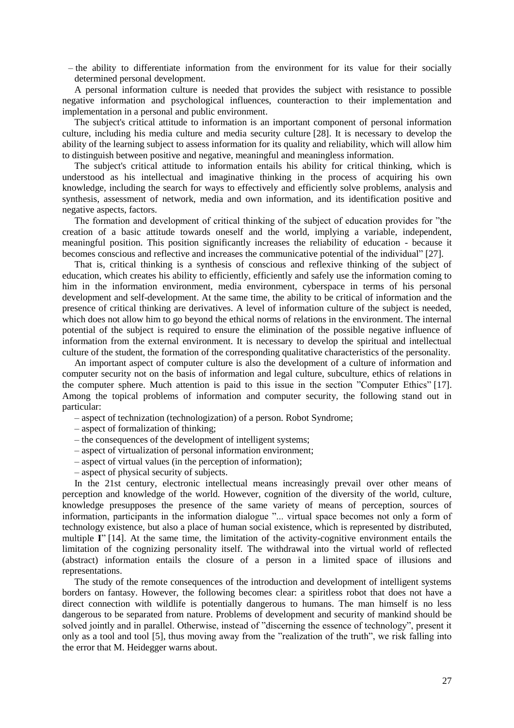‒ the ability to differentiate information from the environment for its value for their socially determined personal development.

A personal information culture is needed that provides the subject with resistance to possible negative information and psychological influences, counteraction to their implementation and implementation in a personal and public environment.

The subject's critical attitude to information is an important component of personal information culture, including his media culture and media security culture [\[28\].](#page-14-17) It is necessary to develop the ability of the learning subject to assess information for its quality and reliability, which will allow him to distinguish between positive and negative, meaningful and meaningless information.

The subject's critical attitude to information entails his ability for critical thinking, which is understood as his intellectual and imaginative thinking in the process of acquiring his own knowledge, including the search for ways to effectively and efficiently solve problems, analysis and synthesis, assessment of network, media and own information, and its identification positive and negative aspects, factors.

The formation and development of critical thinking of the subject of education provides for "the creation of a basic attitude towards oneself and the world, implying a variable, independent, meaningful position. This position significantly increases the reliability of education - because it becomes conscious and reflective and increases the communicative potential of the individual" [\[27\].](#page-14-18)

That is, critical thinking is a synthesis of conscious and reflexive thinking of the subject of education, which creates his ability to efficiently, efficiently and safely use the information coming to him in the information environment, media environment, cyberspace in terms of his personal development and self-development. At the same time, the ability to be critical of information and the presence of critical thinking are derivatives. A level of information culture of the subject is needed, which does not allow him to go beyond the ethical norms of relations in the environment. The internal potential of the subject is required to ensure the elimination of the possible negative influence of information from the external environment. It is necessary to develop the spiritual and intellectual culture of the student, the formation of the corresponding qualitative characteristics of the personality.

An important aspect of computer culture is also the development of a culture of information and computer security not on the basis of information and legal culture, subculture, ethics of relations in the computer sphere. Much attention is paid to this issue in the section "Computer Ethics" [\[17\].](#page-14-19) Among the topical problems of information and computer security, the following stand out in particular:

- ‒ aspect of technization (technologization) of a person. Robot Syndrome;
- ‒ aspect of formalization of thinking;
- ‒ the consequences of the development of intelligent systems;
- ‒ aspect of virtualization of personal information environment;
- ‒ aspect of virtual values (in the perception of information);
- ‒ aspect of physical security of subjects.

In the 21st century, electronic intellectual means increasingly prevail over other means of perception and knowledge of the world. However, cognition of the diversity of the world, culture, knowledge presupposes the presence of the same variety of means of perception, sources of information, participants in the information dialogue "... virtual space becomes not only a form of technology existence, but also a place of human social existence, which is represented by distributed, multiple **I**" [\[14\].](#page-14-20) At the same time, the limitation of the activity-cognitive environment entails the limitation of the cognizing personality itself. The withdrawal into the virtual world of reflected (abstract) information entails the closure of a person in a limited space of illusions and representations.

The study of the remote consequences of the introduction and development of intelligent systems borders on fantasy. However, the following becomes clear: a spiritless robot that does not have a direct connection with wildlife is potentially dangerous to humans. The man himself is no less dangerous to be separated from nature. Problems of development and security of mankind should be solved jointly and in parallel. Otherwise, instead of "discerning the essence of technology", present it only as a tool and tool [\[5\],](#page-13-7) thus moving away from the "realization of the truth", we risk falling into the error that M. Heidegger warns about.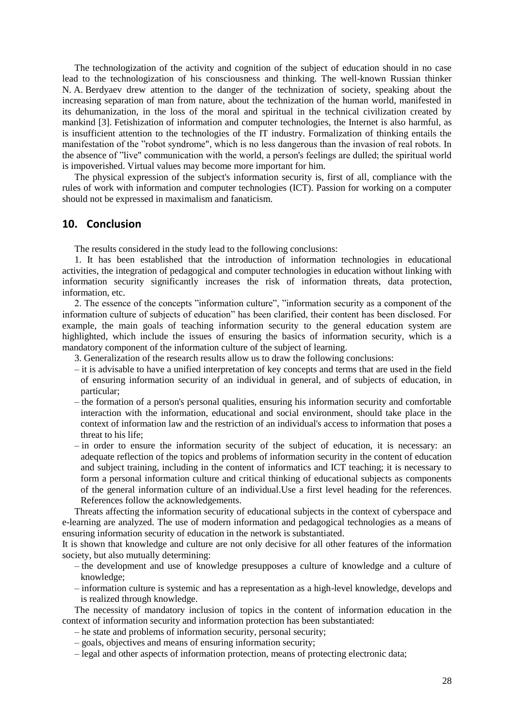The technologization of the activity and cognition of the subject of education should in no case lead to the technologization of his consciousness and thinking. The well-known Russian thinker N. A. Berdyaev drew attention to the danger of the technization of society, speaking about the increasing separation of man from nature, about the technization of the human world, manifested in its dehumanization, in the loss of the moral and spiritual in the technical civilization created by mankind [\[3\].](#page-13-8) Fetishization of information and computer technologies, the Internet is also harmful, as is insufficient attention to the technologies of the IT industry. Formalization of thinking entails the manifestation of the "robot syndrome", which is no less dangerous than the invasion of real robots. In the absence of "live" communication with the world, a person's feelings are dulled; the spiritual world is impoverished. Virtual values may become more important for him.

The physical expression of the subject's information security is, first of all, compliance with the rules of work with information and computer technologies (ICT). Passion for working on a computer should not be expressed in maximalism and fanaticism.

### **10. Conclusion**

The results considered in the study lead to the following conclusions:

1. It has been established that the introduction of information technologies in educational activities, the integration of pedagogical and computer technologies in education without linking with information security significantly increases the risk of information threats, data protection, information, etc.

2. The essence of the concepts "information culture", "information security as a component of the information culture of subjects of education" has been clarified, their content has been disclosed. For example, the main goals of teaching information security to the general education system are highlighted, which include the issues of ensuring the basics of information security, which is a mandatory component of the information culture of the subject of learning.

- 3. Generalization of the research results allow us to draw the following conclusions:
- ‒ it is advisable to have a unified interpretation of key concepts and terms that are used in the field of ensuring information security of an individual in general, and of subjects of education, in particular;
- ‒ the formation of a person's personal qualities, ensuring his information security and comfortable interaction with the information, educational and social environment, should take place in the context of information law and the restriction of an individual's access to information that poses a threat to his life;
- ‒ in order to ensure the information security of the subject of education, it is necessary: an adequate reflection of the topics and problems of information security in the content of education and subject training, including in the content of informatics and ICT teaching; it is necessary to form a personal information culture and critical thinking of educational subjects as components of the general information culture of an individual.Use a first level heading for the references. References follow the acknowledgements.

Threats affecting the information security of educational subjects in the context of cyberspace and e-learning are analyzed. The use of modern information and pedagogical technologies as a means of ensuring information security of education in the network is substantiated.

It is shown that knowledge and culture are not only decisive for all other features of the information society, but also mutually determining:

- ‒ the development and use of knowledge presupposes a culture of knowledge and a culture of knowledge;
- ‒ information culture is systemic and has a representation as a high-level knowledge, develops and is realized through knowledge.

The necessity of mandatory inclusion of topics in the content of information education in the context of information security and information protection has been substantiated:

- ‒ he state and problems of information security, personal security;
- ‒ goals, objectives and means of ensuring information security;
- ‒ legal and other aspects of information protection, means of protecting electronic data;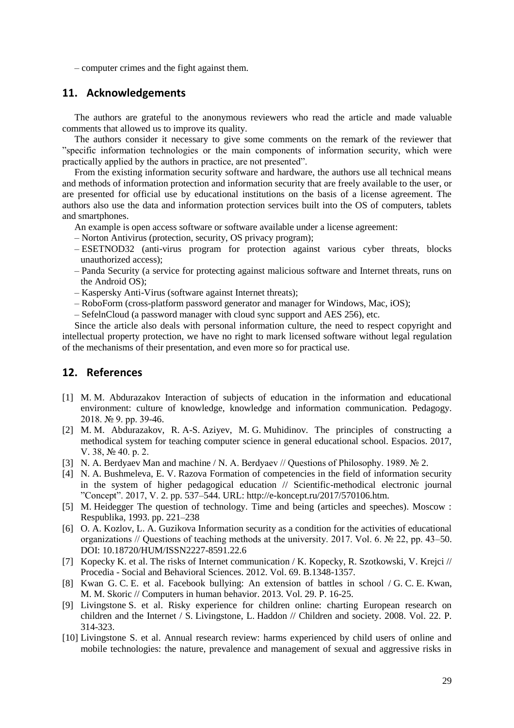‒ computer crimes and the fight against them.

### **11. Acknowledgements**

The authors are grateful to the anonymous reviewers who read the article and made valuable comments that allowed us to improve its quality.

The authors consider it necessary to give some comments on the remark of the reviewer that "specific information technologies or the main components of information security, which were practically applied by the authors in practice, are not presented".

From the existing information security software and hardware, the authors use all technical means and methods of information protection and information security that are freely available to the user, or are presented for official use by educational institutions on the basis of a license agreement. The authors also use the data and information protection services built into the OS of computers, tablets and smartphones.

An example is open access software or software available under a license agreement:

- ‒ Norton Antivirus (protection, security, OS privacy program);
- ‒ ESETNOD32 (anti-virus program for protection against various cyber threats, blocks unauthorized access);
- ‒ Panda Security (a service for protecting against malicious software and Internet threats, runs on the Android OS);
- ‒ Kaspersky Anti-Virus (software against Internet threats);
- ‒ RoboForm (cross-platform password generator and manager for Windows, Mac, iOS);
- ‒ SefelnCloud (a password manager with cloud sync support and AES 256), etc.

Since the article also deals with personal information culture, the need to respect copyright and intellectual property protection, we have no right to mark licensed software without legal regulation of the mechanisms of their presentation, and even more so for practical use.

### **12. References**

- <span id="page-13-1"></span>[1] M. M. Abdurazakov Interaction of subjects of education in the information and educational environment: culture of knowledge, knowledge and information communication. Pedagogy. 2018. № 9. pp. 39-46.
- <span id="page-13-2"></span>[2] M. M. Abdurazakov, R. A-S. Aziyev, M. G. Muhidinov. The principles of constructing a methodical system for teaching computer science in general educational school. Espacios. 2017, V. 38, № 40. p. 2.
- <span id="page-13-8"></span>[3] N. A. Berdyaev Man and machine / N. A. Berdyaev // Questions of Philosophy. 1989. № 2.
- <span id="page-13-6"></span>[4] N. A. Bushmeleva, E. V. Razova Formation of competencies in the field of information security in the system of higher pedagogical education // Scientific-methodical electronic journal "Concept". 2017, V. 2. pp. 537–544. URL: [http://e-koncept.ru/2017/570106.htm.](http://e-koncept.ru/2017/570106.htm)
- <span id="page-13-7"></span>[5] M. Heidegger The question of technology. Time and being (articles and speeches). Moscow : Respublika, 1993. pp. 221–238
- <span id="page-13-0"></span>[6] O. A. Kozlov, L. A. Guzikova Information security as a condition for the activities of educational organizations // Questions of teaching methods at the university. 2017. Vol. 6. № 22, pp. 43–50. DOI: 10.18720/HUM/ISSN2227-8591.22.6
- <span id="page-13-4"></span>[7] Kopecky K. et al. The risks of Internet communication / K. Kopecky, R. Szotkowski, V. Krejci // Procedia - Social and Behavioral Sciences. 2012. Vol. 69. B.1348-1357.
- [8] Kwan G. C. E. et al. Facebook bullying: An extension of battles in school / G. C. E. Kwan, M. M. Skoric // Computers in human behavior. 2013. Vol. 29. P. 16-25.
- <span id="page-13-5"></span>[9] Livingstone S. et al. Risky experience for children online: charting European research on children and the Internet / S. Livingstone, L. Haddon // Children and society. 2008. Vol. 22. P. 314-323.
- <span id="page-13-3"></span>[10] Livingstone S. et al. Annual research review: harms experienced by child users of online and mobile technologies: the nature, prevalence and management of sexual and aggressive risks in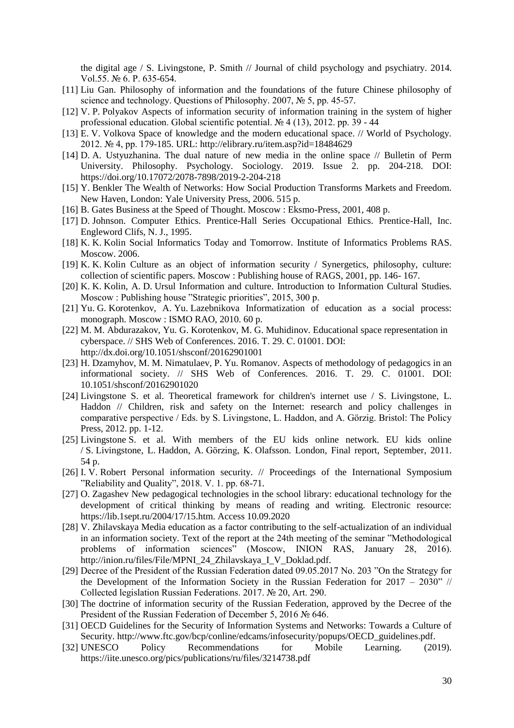the digital age / S. Livingstone, P. Smith // Journal of child psychology and psychiatry. 2014. Vol.55. № 6. Р. 635-654.

- <span id="page-14-13"></span>[11] Liu Gan. Philosophy of information and the foundations of the future Chinese philosophy of science and technology. Questions of Philosophy. 2007, № 5, pp. 45-57.
- <span id="page-14-7"></span>[12] V. P. Polyakov Aspects of information security of information training in the system of higher professional education. Global scientific potential. № 4 (13), 2012. pp. 39 - 44
- <span id="page-14-5"></span>[13] E. V. Volkova Space of knowledge and the modern educational space. // World of Psychology. 2012. № 4, pp. 179-185. URL:<http://elibrary.ru/item.asp?id=18484629>
- <span id="page-14-20"></span>[14] D. A. Ustyuzhanina. The dual nature of new media in the online space // Bulletin of Perm University. Philosophy. Psychology. Sociology. 2019. Issue 2. pp. 204-218. DOI: <https://doi.org/10.17072/2078-7898/2019-2-204-218>
- <span id="page-14-6"></span>[15] Y. Benkler The Wealth of Networks: How Social Production Transforms Markets and Freedom. New Haven, London: Yale University Press, 2006. 515 p.
- <span id="page-14-14"></span>[16] B. Gates Business at the Speed of Thought. Moscow : Eksmo-Press, 2001, 408 p.
- <span id="page-14-19"></span>[17] D. Johnson. Computer Ethics. Prentice-Hall Series Occupational Ethics. Prentice-Hall, Inc. Engleword Clifs, N. J., 1995.
- <span id="page-14-3"></span>[18] K. K. Kolin Social Informatics Today and Tomorrow. Institute of Informatics Problems RAS. Moscow. 2006.
- <span id="page-14-10"></span>[19] K. K. Kolin Culture as an object of information security / Synergetics, philosophy, culture: collection of scientific papers. Moscow : Publishing house of RAGS, 2001, pp. 146- 167.
- <span id="page-14-15"></span>[20] K. K. Kolin, A. D. Ursul Information and culture. Introduction to Information Cultural Studies. Moscow : Publishing house "Strategic priorities", 2015, 300 p.
- <span id="page-14-4"></span>[21] Yu. G. Korotenkov, A. Yu. Lazebnikova Informatization of education as a social process: monograph. Moscow : ISMO RAO, 2010. 60 p.
- <span id="page-14-12"></span>[22] M. M. Abdurazakov, Yu. G. Korotenkov, M. G. Muhidinov. Educational space representation in cyberspace. // SHS Web of Conferences. 2016. Т. 29. С. 01001. DOI: <http://dx.doi.org/10.1051/shsconf/20162901001>
- <span id="page-14-11"></span>[23] H. Dzamyhov, M. M. Nimatulaev, P. Yu. Romanov. Aspects of methodology of pedagogics in an informational society. // SHS Web of Conferences. 2016. Т. 29. С. 01001. DOI: 10.1051/shsconf/20162901020
- <span id="page-14-8"></span>[24] Livingstone S. et al. Theoretical framework for children's internet use / S. Livingstone, L. Haddon // Children, risk and safety on the Internet: research and policy challenges in comparative perspective / Eds. by S. Livingstone, L. Haddon, and A. Görzig. Bristol: The Policy Press, 2012. pp. 1-12.
- <span id="page-14-9"></span>[25] Livingstone S. et al. With members of the EU kids online network. EU kids online / S. Livingstone, L. Haddon, A. Görzing, K. Olafsson. London, Final report, September, 2011. 54 p.
- <span id="page-14-16"></span>[26] I. V. Robert Personal information security. // Proceedings of the International Symposium "Reliability and Quality", 2018. V. 1. pp. 68-71.
- <span id="page-14-18"></span>[27] O. Zagashev New pedagogical technologies in the school library: educational technology for the development of critical thinking by means of reading and writing. Electronic resource: [https://lib.1sept.ru/2004/17/15.htm.](https://lib.1sept.ru/2004/17/15.htm) Access 10.09.2020
- <span id="page-14-17"></span>[28] V. Zhilavskaya Media education as a factor contributing to the self-actualization of an individual in an information society. Text of the report at the 24th meeting of the seminar "Methodological problems of information sciences" (Moscow, INION RAS, January 28, 2016). [http://inion.ru/files/File/MPNI\\_24\\_Zhilavskaya\\_I\\_V\\_Doklad.pdf.](http://inion.ru/files/File/MPNI_24_Zhilavskaya_I_V_Doklad.pdf)
- <span id="page-14-1"></span>[29] Decree of the President of the Russian Federation dated 09.05.2017 No. 203 "On the Strategy for the Development of the Information Society in the Russian Federation for  $2017 - 2030$ " // Collected legislation Russian Federations. 2017. № 20, Art. 290.
- <span id="page-14-0"></span>[30] The doctrine of information security of the Russian Federation, approved by the Decree of the President of the Russian Federation of December 5, 2016 № 646.
- [31] OECD Guidelines for the Security of Information Systems and Networks: Towards a Culture of Security. [http://www.ftc.gov/bcp/conline/edcams/infosecurity/popups/OECD\\_guidelines.pdf.](http://www.ftc.gov/bcp/conline/edcams/infosecurity/popups/OECD_guidelines.pdf)
- <span id="page-14-2"></span>[32] UNESCO Policy Recommendations for Mobile Learning. (2019). <https://iite.unesco.org/pics/publications/ru/files/3214738.pdf>